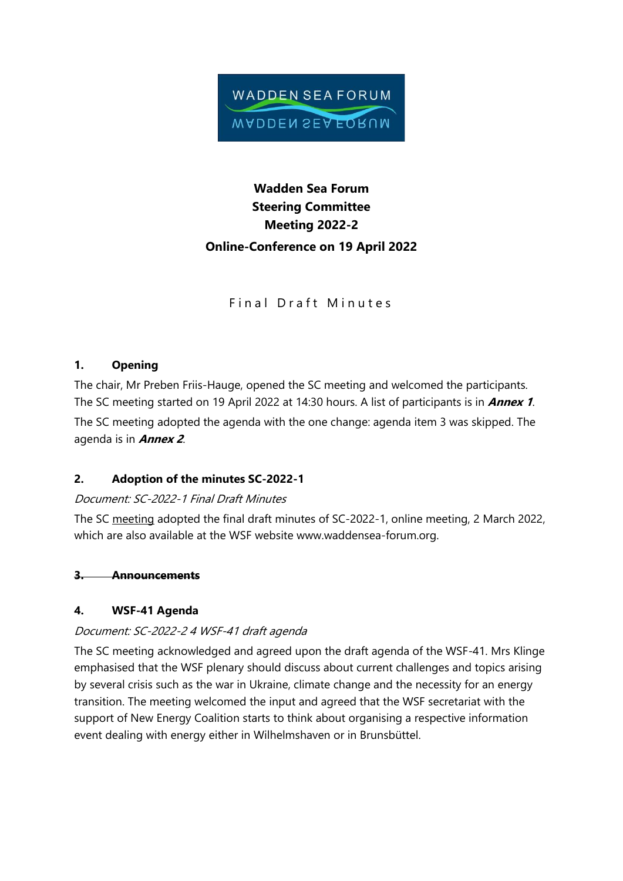

# **Wadden Sea Forum Steering Committee Meeting 2022-2 Online-Conference on 19 April 2022**

Final Draft Minutes

## **1. Opening**

The chair, Mr Preben Friis-Hauge, opened the SC meeting and welcomed the participants. The SC meeting started on 19 April 2022 at 14:30 hours. A list of participants is in **Annex 1**. The SC meeting adopted the agenda with the one change: agenda item 3 was skipped. The agenda is in **Annex 2**.

### **2. Adoption of the minutes SC-2022-1**

### Document: SC-2022-1 Final Draft Minutes

The SC meeting adopted the final draft minutes of SC-2022-1, online meeting, 2 March 2022, which are also available at the WSF website www.waddensea-forum.org.

# **3. Announcements**

# **4. WSF-41 Agenda**

# Document: SC-2022-2 4 WSF-41 draft agenda

The SC meeting acknowledged and agreed upon the draft agenda of the WSF-41. Mrs Klinge emphasised that the WSF plenary should discuss about current challenges and topics arising by several crisis such as the war in Ukraine, climate change and the necessity for an energy transition. The meeting welcomed the input and agreed that the WSF secretariat with the support of New Energy Coalition starts to think about organising a respective information event dealing with energy either in Wilhelmshaven or in Brunsbüttel.